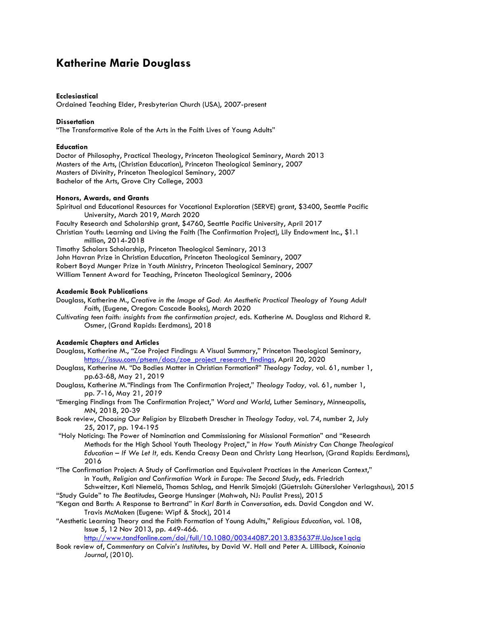# **Katherine Marie Douglass**

## **Ecclesiastical**

Ordained Teaching Elder, Presbyterian Church (USA), 2007-present

## **Dissertation**

"The Transformative Role of the Arts in the Faith Lives of Young Adults"

### **Education**

Doctor of Philosophy, Practical Theology, Princeton Theological Seminary, March 2013 Masters of the Arts, (Christian Education), Princeton Theological Seminary, 2007 Masters of Divinity, Princeton Theological Seminary, 2007 Bachelor of the Arts, Grove City College, 2003

# **Honors, Awards, and Grants**

Spiritual and Educational Resources for Vocational Exploration (SERVE) grant, \$3400, Seattle Pacific University, March 2019, March 2020 Faculty Research and Scholarship grant, \$4760, Seattle Pacific University, April 2017 Christian Youth: Learning and Living the Faith (The Confirmation Project), Lily Endowment Inc., \$1.1 million, 2014-2018 Timothy Scholars Scholarship, Princeton Theological Seminary, 2013 John Havran Prize in Christian Education, Princeton Theological Seminary, 2007 Robert Boyd Munger Prize in Youth Ministry, Princeton Theological Seminary, 2007 William Tennent Award for Teaching, Princeton Theological Seminary, 2006

#### **Academic Book Publications**

Douglass, Katherine M., *Creative in the Image of God: An Aesthetic Practical Theology of Young Adult Faith*, (Eugene, Oregon: Cascade Books), March 2020

*Cultivating teen faith: insights from the confirmation project,* eds. Katherine M. Douglass and Richard R. Osmer, (Grand Rapids: Eerdmans), 2018

### **Academic Chapters and Articles**

Douglass, Katherine M., "Zoe Project Findings: A Visual Summary," Princeton Theological Seminary, https://issuu.com/ptsem/docs/zoe\_project\_research\_findings, April 20, 2020

Douglass, Katherine M. "Do Bodies Matter in Christian Formation?" *Theology Today,* vol. 61, number 1, pp.63-68, May 21, 2019

Douglass, Katherine M*."*Findings from The Confirmation Project," *Theology Today,* vol. 61, number 1, pp. 7-16, May 21, *2019* 

"Emerging Findings from The Confirmation Project," *Word and World*, Luther Seminary, Minneapolis, MN, 2018, 20-39

Book review, *Choosing Our Religion* by Elizabeth Drescher in *Theology Today,* vol. 74, number 2, July 25, 2017, pp. 194-195

"Holy Noticing: The Power of Nomination and Commissioning for Missional Formation" and "Research Methods for the High School Youth Theology Project," in *How Youth Ministry Can Change Theological Education – If We Let It,* eds. Kenda Creasy Dean and Christy Lang Hearlson, (Grand Rapids: Eerdmans), 2016

"The Confirmation Project: A Study of Confirmation and Equivalent Practices in the American Context," in *Youth, Religion and Confirmation Work in Europe: The Second Study*, eds. Friedrich

Schweitzer, Kati Niemelä, Thomas Schlag, and Henrik Simojoki (Güetrsloh: Gütersloher Verlagshaus), 2015 "Study Guide" to *The Beatitudes*, George Hunsinger (Mahwah, NJ: Paulist Press), 2015

"Kegan and Barth: A Response to Bertrand" in *Karl Barth in Conversation*, eds. David Congdon and W.

Travis McMaken (Eugene: Wipf & Stock), 2014

"Aesthetic Learning Theory and the Faith Formation of Young Adults," *Religious Education*, vol. 108, Issue 5, 12 Nov 2013, pp. 449-466.

http://www.tandfonline.com/doi/full/10.1080/00344087.2013.835637#.UoJsce1qcig

Book review of, *Commentary on Calvin's Institutes*, by David W. Hall and Peter A. Lilliback, *Koinonia Journal*, (2010).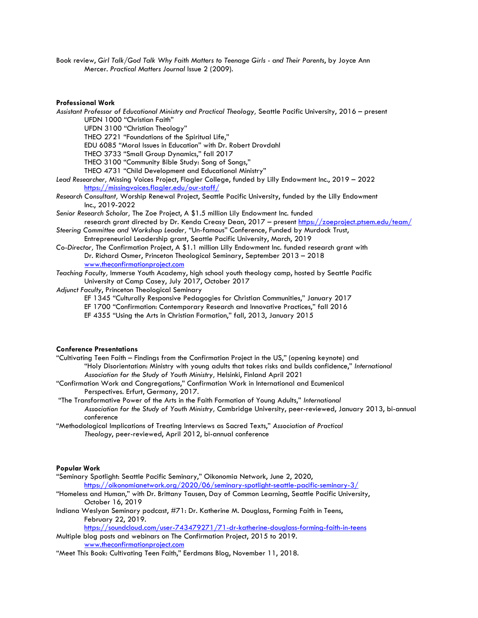Book review, *Girl Talk/God Talk Why Faith Matters to Teenage Girls - and Their Parents*, by Joyce Ann Mercer. *Practical Matters Journal* Issue 2 (2009).

**Professional Work** 

*Assistant Professor of Educational Ministry and Practical Theology,* Seattle Pacific University, 2016 – present UFDN 1000 "Christian Faith"

UFDN 3100 "Christian Theology"

THEO 2721 "Foundations of the Spiritual Life,"

EDU 6085 "Moral Issues in Education" with Dr. Robert Drovdahl

THEO 3733 "Small Group Dynamics," fall 2017

THEO 3100 "Community Bible Study: Song of Songs,"

THEO 4731 "Child Development and Educational Ministry"

*Lead Researcher,* Missing Voices Project, Flagler College, funded by Lilly Endowment Inc., 2019 – 2022 https://missingvoices.flagler.edu/our-staff/

*Research Consultant,* Worship Renewal Project, Seattle Pacific University, funded by the Lilly Endowment Inc., 2019-2022

- *Senior Research Scholar,* The Zoe Project, A \$1.5 million Lily Endowment Inc. funded research grant directed by Dr. Kenda Creasy Dean, 2017 – present https://zoeproject.ptsem.edu/team/
- *Steering Committee and Workshop Leader,* "Un-famous" Conference, Funded by Murdock Trust, Entrepreneurial Leadership grant, Seattle Pacific University, March, 2019
- *Co-Director,* The Confirmation Project, A \$1.1 million Lilly Endowment Inc. funded research grant with Dr. Richard Osmer, Princeton Theological Seminary, September 2013 – 2018 www.theconfirmationproject.com

*Teaching Faculty,* Immerse Youth Academy, high school youth theology camp, hosted by Seattle Pacific University at Camp Casey, July 2017, October 2017

*Adjunct Faculty*, Princeton Theological Seminary

EF 1345 "Culturally Responsive Pedagogies for Christian Communities," January 2017

- EF 1700 "Confirmation: Contemporary Research and Innovative Practices," fall 2016
- EF 4355 "Using the Arts in Christian Formation," fall, 2013, January 2015

#### **Conference Presentations**

- "Cultivating Teen Faith Findings from the Confirmation Project in the US," (opening keynote) and "Holy Disorientation: Ministry with young adults that takes risks and builds confidence," *International Association for the Study of Youth Ministry,* Helsinki, Finland April 2021
- "Confirmation Work and Congregations," Confirmation Work in International and Ecumenical Perspectives. Erfurt, Germany, 2017.
- "The Transformative Power of the Arts in the Faith Formation of Young Adults," *International Association for the Study of Youth Ministry,* Cambridge University, peer-reviewed, January 2013, bi-annual conference
- "Methodological Implications of Treating Interviews as Sacred Texts," *Association of Practical Theology*, peer-reviewed, April 2012, bi-annual conference

#### **Popular Work**

- "Seminary Spotlight: Seattle Pacific Seminary," Oikonomia Network, June 2, 2020, https://oikonomianetwork.org/2020/06/seminary-spotlight-seattle-pacific-seminary-3/
- "Homeless and Human," with Dr. Brittany Tausen, Day of Common Learning, Seattle Pacific University, October 16, 2019

Indiana Weslyan Seminary podcast, #71: Dr. Katherine M. Douglass, Forming Faith in Teens, February 22, 2019.

https://soundcloud.com/user-743479271/71-dr-katherine-douglass-forming-faith-in-teens Multiple blog posts and webinars on The Confirmation Project, 2015 to 2019.

www.theconfirmationproject.com

"Meet This Book: Cultivating Teen Faith," Eerdmans Blog, November 11, 2018.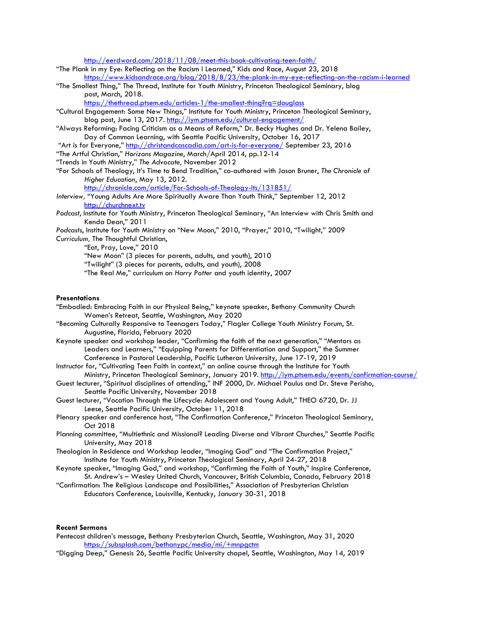http://eerdword.com/2018/11/08/meet-this-book-cultivating-teen-faith/

"The Plank in my Eye: Reflecting on the Racism I Learned," Kids and Race, August 23, 2018 https://www.kidsandrace.org/blog/2018/8/23/the-plank-in-my-eye-reflecting-on-the-racism-i-learned

"The Smallest Thing," The Thread, Institute for Youth Ministry, Princeton Theological Seminary, blog post, March, 2018.

https://thethread.ptsem.edu/articles-1/the-smallest-thing?rq=douglass

- "Cultural Engagement: Some New Things," Institute for Youth Ministry, Princeton Theological Seminary, blog post, June 13, 2017. http://iym.ptsem.edu/cultural-engagement/
- "Always Reforming: Facing Criticism as a Means of Reform," Dr. Becky Hughes and Dr. Yelena Bailey, Day of Common Learning, with Seattle Pacific University, October 16, 2017
- "Art is for Everyone," http://christandcascadia.com/art-is-for-everyone/ September 23, 2016

"The Artful Christian," *Horizons Magazine*, March/April 2014, pp.12-14

- "Trends in Youth Ministry," *The Advocate,* November 2012
- "For Schools of Theology, It's Time to Bend Tradition," co-authored with Jason Bruner, *The Chronicle of Higher Education*, May 13, 2012.

http://chronicle.com/article/For-Schools-of-Theology-Its/131851/

*Interview,* "Young Adults Are More Spiritually Aware Than Youth Think," September 12, 2012 http://churchnext.tv

*Podcast*, Institute for Youth Ministry, Princeton Theological Seminary, "An Interview with Chris Smith and Kenda Dean," 2011

*Podcasts*, Institute for Youth Ministry on "New Moon," 2010, "Prayer," 2010, "Twilight," 2009

*Curriculum,* The Thoughtful Christian,

"Eat, Pray, Love," 2010

"New Moon" (3 pieces for parents, adults, and youth), 2010

"Twilight" (3 pieces for parents, adults, and youth), 2008

"The Real Me," curriculum on *Harry Potter* and youth identity, 2007

#### **Presentations**

- "Embodied: Embracing Faith in our Physical Being," keynote speaker, Bethany Community Church Women's Retreat, Seattle, Washington, May 2020
- "Becoming Culturally Responsive to Teenagers Today," Flagler College Youth Ministry Forum, St. Augustine, Florida, February 2020
- Keynote speaker and workshop leader, "Confirming the faith of the next generation," "Mentors as Leaders and Learners," "Equipping Parents for Differentiation and Support," the Summer Conference in Pastoral Leadership, Pacific Lutheran University, June 17-19, 2019
- Instructor for, "Cultivating Teen Faith in context," an online course through the Institute for Youth Ministry, Princeton Theological Seminary, January 2019. <u>http://iym.ptsem.edu/events/confirmation-course/</u>
- Guest lecturer, "Spiritual disciplines of attending," INF 2000, Dr. Michael Paulus and Dr. Steve Perisho, Seattle Pacific University, November 2018

Guest lecturer, "Vocation Through the Lifecycle: Adolescent and Young Adult," THEO 6720, Dr. JJ Leese, Seattle Pacific University, October 11, 2018

- Plenary speaker and conference host, "The Confirmation Conference," Princeton Theological Seminary, Oct 2018
- Planning committee, "Multiethnic and Missional? Leading Diverse and Vibrant Churches," Seattle Pacific University, May 2018
- Theologian in Residence and Workshop leader, "Imaging God" and "The Confirmation Project," Institute for Youth Ministry, Princeton Theological Seminary, April 24-27, 2018
- Keynote speaker, "Imaging God," and workshop, "Confirming the Faith of Youth," Inspire Conference, St. Andrew's – Wesley United Church, Vancouver, British Columbia, Canada, February 2018
- "Confirmation: The Religious Landscape and Possibilities," Association of Presbyterian Christian Educators Conference, Louisville, Kentucky, January 30-31, 2018

## **Recent Sermons**

- Pentecost children's message, Bethany Presbyterian Church, Seattle, Washington, May 31, 2020 https://subsplash.com/bethanypc/media/mi/+mnpgctm
- "Digging Deep," Genesis 26, Seattle Pacific University chapel, Seattle, Washington, May 14, 2019